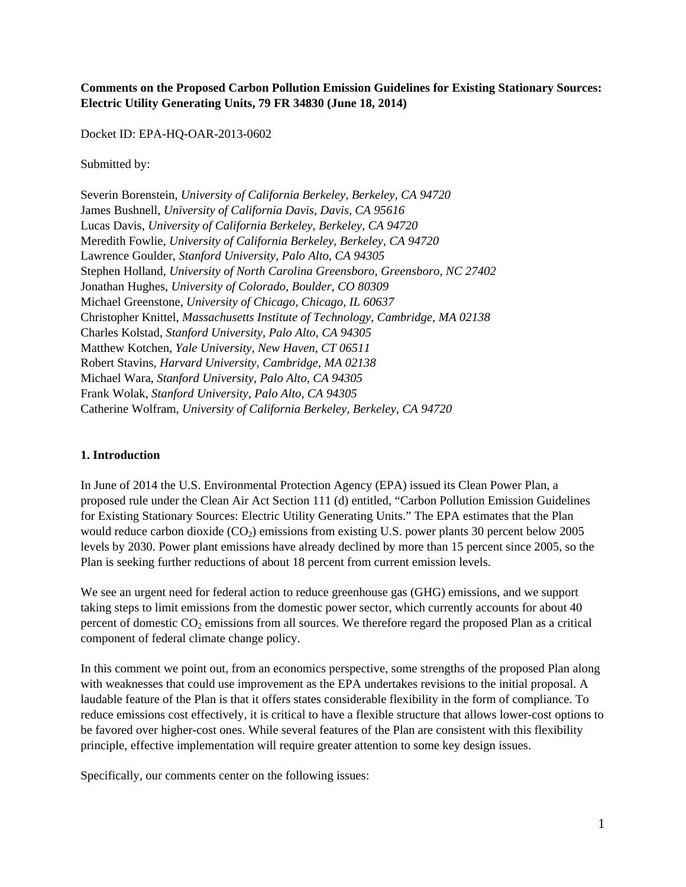## **Comments on the Proposed Carbon Pollution Emission Guidelines for Existing Stationary Sources: Electric Utility Generating Units, 79 FR 34830 (June 18, 2014)**

Docket ID: EPA-HQ-OAR-2013-0602

Submitted by:

Severin Borenstein, *University of California Berkeley, Berkeley, CA 94720* James Bushnell, *University of California Davis, Davis, CA 95616* Lucas Davis, *University of California Berkeley, Berkeley, CA 94720* Meredith Fowlie, *University of California Berkeley, Berkeley, CA 94720* Lawrence Goulder, *Stanford University, Palo Alto, CA 94305* Stephen Holland, *University of North Carolina Greensboro, Greensboro, NC 27402* Jonathan Hughes, *University of Colorado, Boulder, CO 80309* Michael Greenstone, *University of Chicago, Chicago, IL 60637* Christopher Knittel, *Massachusetts Institute of Technology, Cambridge, MA 02138* Charles Kolstad, *Stanford University, Palo Alto, CA 94305*  Matthew Kotchen, *Yale University, New Haven, CT 06511* Robert Stavins, *Harvard University, Cambridge, MA 02138* Michael Wara, *Stanford University, Palo Alto, CA 94305* Frank Wolak, *Stanford University, Palo Alto, CA 94305* Catherine Wolfram, *University of California Berkeley, Berkeley, CA 94720*

### **1. Introduction**

In June of 2014 the U.S. Environmental Protection Agency (EPA) issued its Clean Power Plan, a proposed rule under the Clean Air Act Section 111 (d) entitled, "Carbon Pollution Emission Guidelines for Existing Stationary Sources: Electric Utility Generating Units." The EPA estimates that the Plan would reduce carbon dioxide  $(CO_2)$  emissions from existing U.S. power plants 30 percent below 2005 levels by 2030. Power plant emissions have already declined by more than 15 percent since 2005, so the Plan is seeking further reductions of about 18 percent from current emission levels.

We see an urgent need for federal action to reduce greenhouse gas (GHG) emissions, and we support taking steps to limit emissions from the domestic power sector, which currently accounts for about 40 percent of domestic  $CO_2$  emissions from all sources. We therefore regard the proposed Plan as a critical component of federal climate change policy.

In this comment we point out, from an economics perspective, some strengths of the proposed Plan along with weaknesses that could use improvement as the EPA undertakes revisions to the initial proposal. A laudable feature of the Plan is that it offers states considerable flexibility in the form of compliance. To reduce emissions cost effectively, it is critical to have a flexible structure that allows lower-cost options to be favored over higher-cost ones. While several features of the Plan are consistent with this flexibility principle, effective implementation will require greater attention to some key design issues.

Specifically, our comments center on the following issues: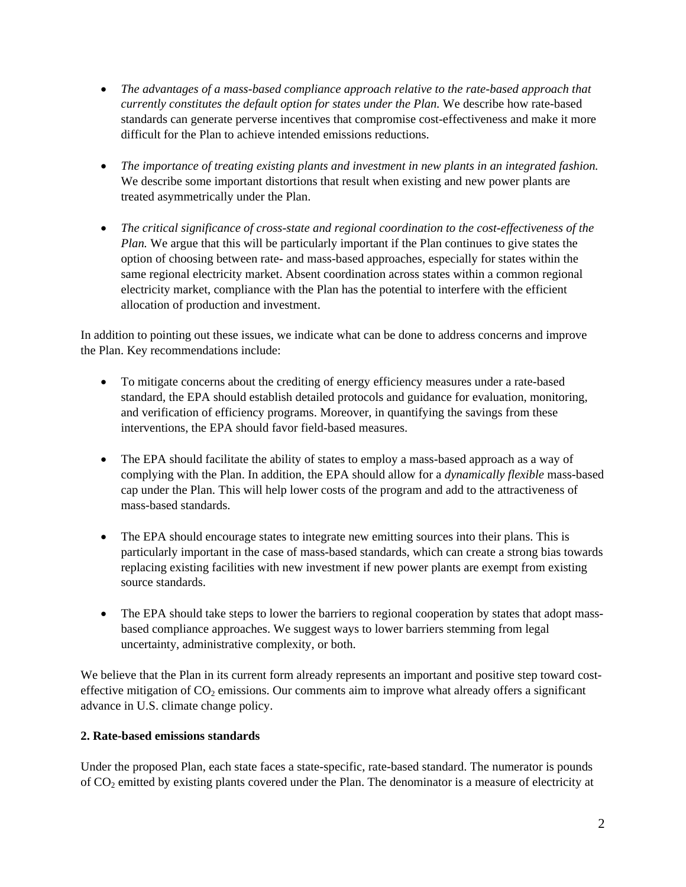- *The advantages of a mass-based compliance approach relative to the rate-based approach that currently constitutes the default option for states under the Plan.* We describe how rate-based standards can generate perverse incentives that compromise cost-effectiveness and make it more difficult for the Plan to achieve intended emissions reductions.
- *The importance of treating existing plants and investment in new plants in an integrated fashion.*  We describe some important distortions that result when existing and new power plants are treated asymmetrically under the Plan.
- *The critical significance of cross-state and regional coordination to the cost-effectiveness of the Plan.* We argue that this will be particularly important if the Plan continues to give states the option of choosing between rate- and mass-based approaches, especially for states within the same regional electricity market. Absent coordination across states within a common regional electricity market, compliance with the Plan has the potential to interfere with the efficient allocation of production and investment.

In addition to pointing out these issues, we indicate what can be done to address concerns and improve the Plan. Key recommendations include:

- To mitigate concerns about the crediting of energy efficiency measures under a rate-based standard, the EPA should establish detailed protocols and guidance for evaluation, monitoring, and verification of efficiency programs. Moreover, in quantifying the savings from these interventions, the EPA should favor field-based measures.
- The EPA should facilitate the ability of states to employ a mass-based approach as a way of complying with the Plan. In addition, the EPA should allow for a *dynamically flexible* mass-based cap under the Plan. This will help lower costs of the program and add to the attractiveness of mass-based standards.
- The EPA should encourage states to integrate new emitting sources into their plans. This is particularly important in the case of mass-based standards, which can create a strong bias towards replacing existing facilities with new investment if new power plants are exempt from existing source standards.
- The EPA should take steps to lower the barriers to regional cooperation by states that adopt massbased compliance approaches. We suggest ways to lower barriers stemming from legal uncertainty, administrative complexity, or both.

We believe that the Plan in its current form already represents an important and positive step toward costeffective mitigation of  $CO<sub>2</sub>$  emissions. Our comments aim to improve what already offers a significant advance in U.S. climate change policy.

# **2. Rate-based emissions standards**

Under the proposed Plan, each state faces a state-specific, rate-based standard. The numerator is pounds of CO2 emitted by existing plants covered under the Plan. The denominator is a measure of electricity at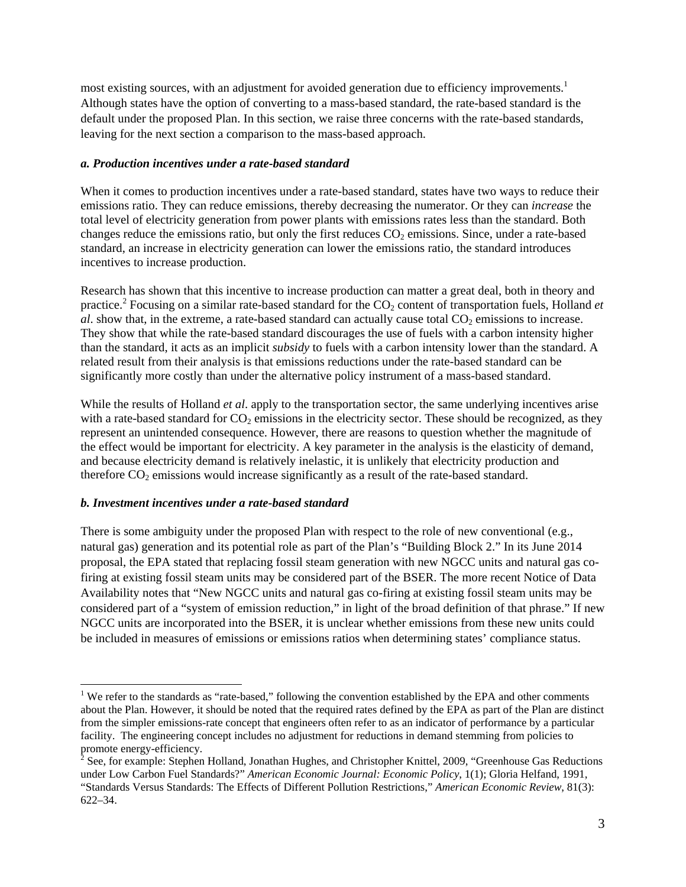most existing sources, with an adjustment for avoided generation due to efficiency improvements.<sup>1</sup> Although states have the option of converting to a mass-based standard, the rate-based standard is the default under the proposed Plan. In this section, we raise three concerns with the rate-based standards, leaving for the next section a comparison to the mass-based approach.

### *a. Production incentives under a rate-based standard*

When it comes to production incentives under a rate-based standard, states have two ways to reduce their emissions ratio. They can reduce emissions, thereby decreasing the numerator. Or they can *increase* the total level of electricity generation from power plants with emissions rates less than the standard. Both changes reduce the emissions ratio, but only the first reduces  $CO<sub>2</sub>$  emissions. Since, under a rate-based standard, an increase in electricity generation can lower the emissions ratio, the standard introduces incentives to increase production.

Research has shown that this incentive to increase production can matter a great deal, both in theory and practice.<sup>2</sup> Focusing on a similar rate-based standard for the CO<sub>2</sub> content of transportation fuels, Holland *et*  $a$ . show that, in the extreme, a rate-based standard can actually cause total  $CO<sub>2</sub>$  emissions to increase. They show that while the rate-based standard discourages the use of fuels with a carbon intensity higher than the standard, it acts as an implicit *subsidy* to fuels with a carbon intensity lower than the standard. A related result from their analysis is that emissions reductions under the rate-based standard can be significantly more costly than under the alternative policy instrument of a mass-based standard.

While the results of Holland *et al*. apply to the transportation sector, the same underlying incentives arise with a rate-based standard for  $CO<sub>2</sub>$  emissions in the electricity sector. These should be recognized, as they represent an unintended consequence. However, there are reasons to question whether the magnitude of the effect would be important for electricity. A key parameter in the analysis is the elasticity of demand, and because electricity demand is relatively inelastic, it is unlikely that electricity production and therefore  $CO<sub>2</sub>$  emissions would increase significantly as a result of the rate-based standard.

### *b. Investment incentives under a rate-based standard*

There is some ambiguity under the proposed Plan with respect to the role of new conventional (e.g., natural gas) generation and its potential role as part of the Plan's "Building Block 2." In its June 2014 proposal, the EPA stated that replacing fossil steam generation with new NGCC units and natural gas cofiring at existing fossil steam units may be considered part of the BSER. The more recent Notice of Data Availability notes that "New NGCC units and natural gas co-firing at existing fossil steam units may be considered part of a "system of emission reduction," in light of the broad definition of that phrase." If new NGCC units are incorporated into the BSER, it is unclear whether emissions from these new units could be included in measures of emissions or emissions ratios when determining states' compliance status.

<sup>&</sup>lt;sup>1</sup> We refer to the standards as "rate-based," following the convention established by the EPA and other comments about the Plan. However, it should be noted that the required rates defined by the EPA as part of the Plan are distinct from the simpler emissions-rate concept that engineers often refer to as an indicator of performance by a particular facility. The engineering concept includes no adjustment for reductions in demand stemming from policies to

promote energy-efficiency.<br><sup>2</sup> See, for example: Stephen Holland, Jonathan Hughes, and Christopher Knittel, 2009, "Greenhouse Gas Reductions under Low Carbon Fuel Standards?" *American Economic Journal: Economic Policy*, 1(1); Gloria Helfand, 1991, "Standards Versus Standards: The Effects of Different Pollution Restrictions," *American Economic Review*, 81(3): 622–34.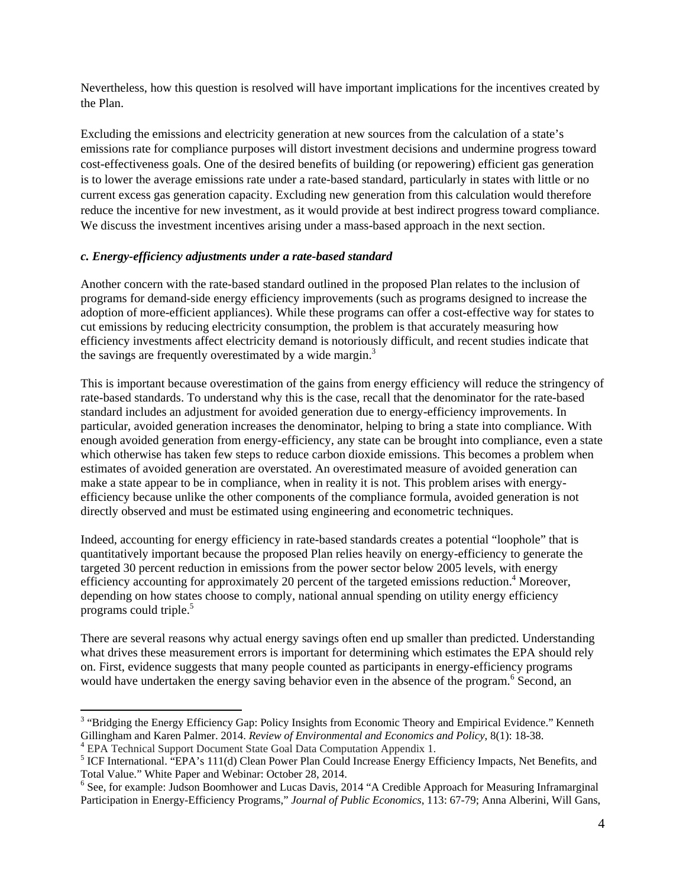Nevertheless, how this question is resolved will have important implications for the incentives created by the Plan.

Excluding the emissions and electricity generation at new sources from the calculation of a state's emissions rate for compliance purposes will distort investment decisions and undermine progress toward cost-effectiveness goals. One of the desired benefits of building (or repowering) efficient gas generation is to lower the average emissions rate under a rate-based standard, particularly in states with little or no current excess gas generation capacity. Excluding new generation from this calculation would therefore reduce the incentive for new investment, as it would provide at best indirect progress toward compliance. We discuss the investment incentives arising under a mass-based approach in the next section.

## *c. Energy-efficiency adjustments under a rate-based standard*

Another concern with the rate-based standard outlined in the proposed Plan relates to the inclusion of programs for demand-side energy efficiency improvements (such as programs designed to increase the adoption of more-efficient appliances). While these programs can offer a cost-effective way for states to cut emissions by reducing electricity consumption, the problem is that accurately measuring how efficiency investments affect electricity demand is notoriously difficult, and recent studies indicate that the savings are frequently overestimated by a wide margin.<sup>3</sup>

This is important because overestimation of the gains from energy efficiency will reduce the stringency of rate-based standards. To understand why this is the case, recall that the denominator for the rate-based standard includes an adjustment for avoided generation due to energy-efficiency improvements. In particular, avoided generation increases the denominator, helping to bring a state into compliance. With enough avoided generation from energy-efficiency, any state can be brought into compliance, even a state which otherwise has taken few steps to reduce carbon dioxide emissions. This becomes a problem when estimates of avoided generation are overstated. An overestimated measure of avoided generation can make a state appear to be in compliance, when in reality it is not. This problem arises with energyefficiency because unlike the other components of the compliance formula, avoided generation is not directly observed and must be estimated using engineering and econometric techniques.

Indeed, accounting for energy efficiency in rate-based standards creates a potential "loophole" that is quantitatively important because the proposed Plan relies heavily on energy-efficiency to generate the targeted 30 percent reduction in emissions from the power sector below 2005 levels, with energy efficiency accounting for approximately 20 percent of the targeted emissions reduction.<sup>4</sup> Moreover, depending on how states choose to comply, national annual spending on utility energy efficiency programs could triple.<sup>5</sup>

There are several reasons why actual energy savings often end up smaller than predicted. Understanding what drives these measurement errors is important for determining which estimates the EPA should rely on. First, evidence suggests that many people counted as participants in energy-efficiency programs would have undertaken the energy saving behavior even in the absence of the program.<sup>6</sup> Second, an

 <sup>3</sup> "Bridging the Energy Efficiency Gap: Policy Insights from Economic Theory and Empirical Evidence." Kenneth Gillingham and Karen Palmer. 2014. *Review of Environmental and Economics and Policy*, 8(1): 18-38. 4

<sup>&</sup>lt;sup>4</sup> EPA Technical Support Document State Goal Data Computation Appendix 1.

<sup>&</sup>lt;sup>5</sup> ICF International. "EPA's 111(d) Clean Power Plan Could Increase Energy Efficiency Impacts, Net Benefits, and Total Value." White Paper and Webinar: October 28, 2014.

<sup>&</sup>lt;sup>6</sup> See, for example: Judson Boomhower and Lucas Davis, 2014 "A Credible Approach for Measuring Inframarginal Participation in Energy-Efficiency Programs," *Journal of Public Economics*, 113: 67-79; Anna Alberini, Will Gans,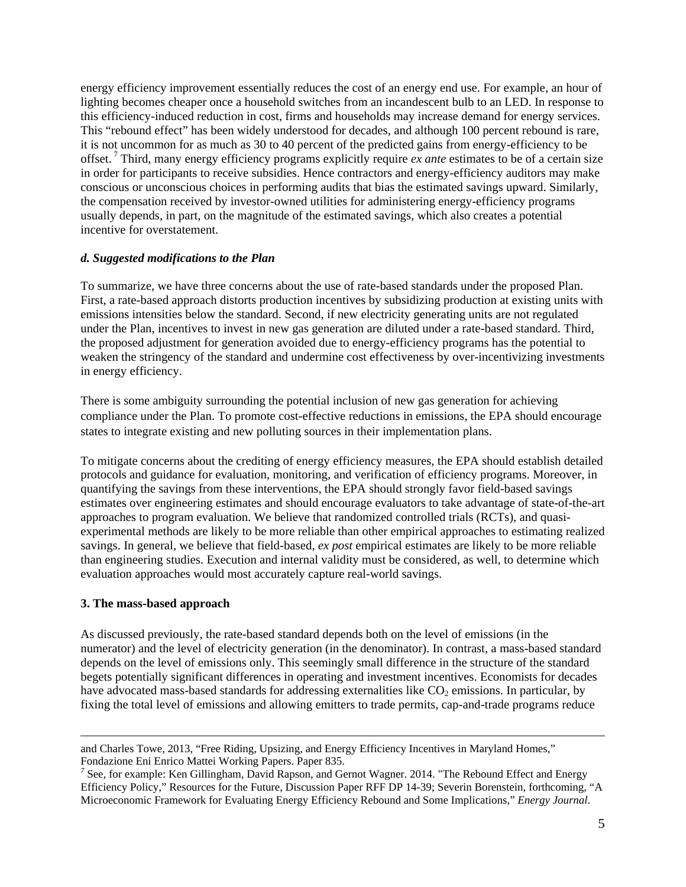energy efficiency improvement essentially reduces the cost of an energy end use. For example, an hour of lighting becomes cheaper once a household switches from an incandescent bulb to an LED. In response to this efficiency-induced reduction in cost, firms and households may increase demand for energy services. This "rebound effect" has been widely understood for decades, and although 100 percent rebound is rare, it is not uncommon for as much as 30 to 40 percent of the predicted gains from energy-efficiency to be offset. 7 Third, many energy efficiency programs explicitly require *ex ante* estimates to be of a certain size in order for participants to receive subsidies. Hence contractors and energy-efficiency auditors may make conscious or unconscious choices in performing audits that bias the estimated savings upward. Similarly, the compensation received by investor-owned utilities for administering energy-efficiency programs usually depends, in part, on the magnitude of the estimated savings, which also creates a potential incentive for overstatement.

### *d. Suggested modifications to the Plan*

To summarize, we have three concerns about the use of rate-based standards under the proposed Plan. First, a rate-based approach distorts production incentives by subsidizing production at existing units with emissions intensities below the standard. Second, if new electricity generating units are not regulated under the Plan, incentives to invest in new gas generation are diluted under a rate-based standard. Third, the proposed adjustment for generation avoided due to energy-efficiency programs has the potential to weaken the stringency of the standard and undermine cost effectiveness by over-incentivizing investments in energy efficiency.

There is some ambiguity surrounding the potential inclusion of new gas generation for achieving compliance under the Plan. To promote cost-effective reductions in emissions, the EPA should encourage states to integrate existing and new polluting sources in their implementation plans.

To mitigate concerns about the crediting of energy efficiency measures, the EPA should establish detailed protocols and guidance for evaluation, monitoring, and verification of efficiency programs. Moreover, in quantifying the savings from these interventions, the EPA should strongly favor field-based savings estimates over engineering estimates and should encourage evaluators to take advantage of state-of-the-art approaches to program evaluation. We believe that randomized controlled trials (RCTs), and quasiexperimental methods are likely to be more reliable than other empirical approaches to estimating realized savings. In general, we believe that field-based, *ex post* empirical estimates are likely to be more reliable than engineering studies. Execution and internal validity must be considered, as well, to determine which evaluation approaches would most accurately capture real-world savings.

### **3. The mass-based approach**

As discussed previously, the rate-based standard depends both on the level of emissions (in the numerator) and the level of electricity generation (in the denominator). In contrast, a mass-based standard depends on the level of emissions only. This seemingly small difference in the structure of the standard begets potentially significant differences in operating and investment incentives. Economists for decades have advocated mass-based standards for addressing externalities like  $CO<sub>2</sub>$  emissions. In particular, by fixing the total level of emissions and allowing emitters to trade permits, cap-and-trade programs reduce

<u> Andrewski politika (za obrazu za obrazu za obrazu za obrazu za obrazu za obrazu za obrazu za obrazu za obrazu</u>

and Charles Towe, 2013, "Free Riding, Upsizing, and Energy Efficiency Incentives in Maryland Homes," Fondazione Eni Enrico Mattei Working Papers. Paper 835.

<sup>&</sup>lt;sup>7</sup> See, for example: Ken Gillingham, David Rapson, and Gernot Wagner. 2014. "The Rebound Effect and Energy Efficiency Policy," Resources for the Future, Discussion Paper RFF DP 14-39; Severin Borenstein, forthcoming, "A Microeconomic Framework for Evaluating Energy Efficiency Rebound and Some Implications," *Energy Journal*.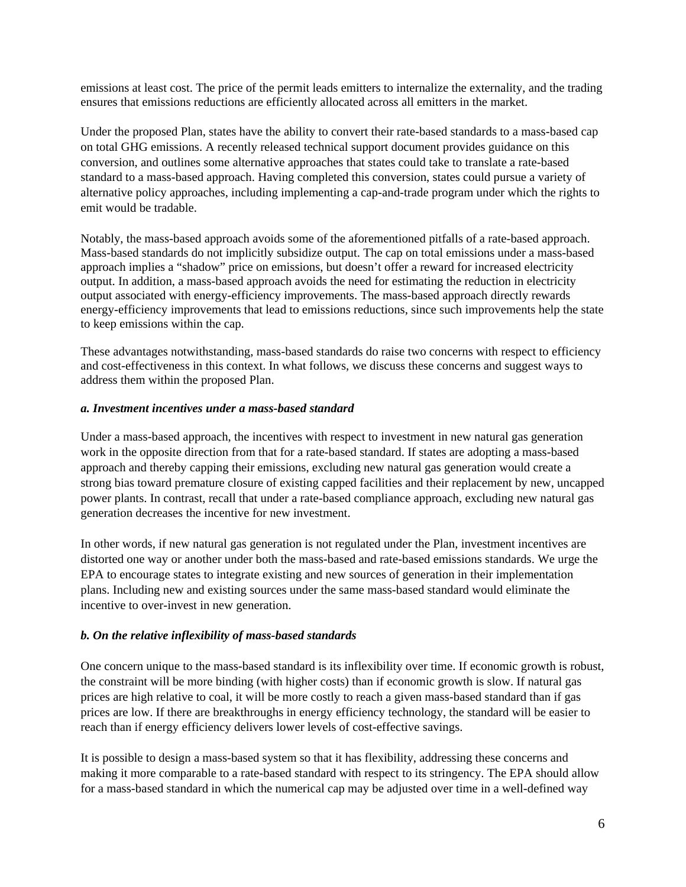emissions at least cost. The price of the permit leads emitters to internalize the externality, and the trading ensures that emissions reductions are efficiently allocated across all emitters in the market.

Under the proposed Plan, states have the ability to convert their rate-based standards to a mass-based cap on total GHG emissions. A recently released technical support document provides guidance on this conversion, and outlines some alternative approaches that states could take to translate a rate-based standard to a mass-based approach. Having completed this conversion, states could pursue a variety of alternative policy approaches, including implementing a cap-and-trade program under which the rights to emit would be tradable.

Notably, the mass-based approach avoids some of the aforementioned pitfalls of a rate-based approach. Mass-based standards do not implicitly subsidize output. The cap on total emissions under a mass-based approach implies a "shadow" price on emissions, but doesn't offer a reward for increased electricity output. In addition, a mass-based approach avoids the need for estimating the reduction in electricity output associated with energy-efficiency improvements. The mass-based approach directly rewards energy-efficiency improvements that lead to emissions reductions, since such improvements help the state to keep emissions within the cap.

These advantages notwithstanding, mass-based standards do raise two concerns with respect to efficiency and cost-effectiveness in this context. In what follows, we discuss these concerns and suggest ways to address them within the proposed Plan.

#### *a. Investment incentives under a mass-based standard*

Under a mass-based approach, the incentives with respect to investment in new natural gas generation work in the opposite direction from that for a rate-based standard. If states are adopting a mass-based approach and thereby capping their emissions, excluding new natural gas generation would create a strong bias toward premature closure of existing capped facilities and their replacement by new, uncapped power plants. In contrast, recall that under a rate-based compliance approach, excluding new natural gas generation decreases the incentive for new investment.

In other words, if new natural gas generation is not regulated under the Plan, investment incentives are distorted one way or another under both the mass-based and rate-based emissions standards. We urge the EPA to encourage states to integrate existing and new sources of generation in their implementation plans. Including new and existing sources under the same mass-based standard would eliminate the incentive to over-invest in new generation.

### *b. On the relative inflexibility of mass-based standards*

One concern unique to the mass-based standard is its inflexibility over time. If economic growth is robust, the constraint will be more binding (with higher costs) than if economic growth is slow. If natural gas prices are high relative to coal, it will be more costly to reach a given mass-based standard than if gas prices are low. If there are breakthroughs in energy efficiency technology, the standard will be easier to reach than if energy efficiency delivers lower levels of cost-effective savings.

It is possible to design a mass-based system so that it has flexibility, addressing these concerns and making it more comparable to a rate-based standard with respect to its stringency. The EPA should allow for a mass-based standard in which the numerical cap may be adjusted over time in a well-defined way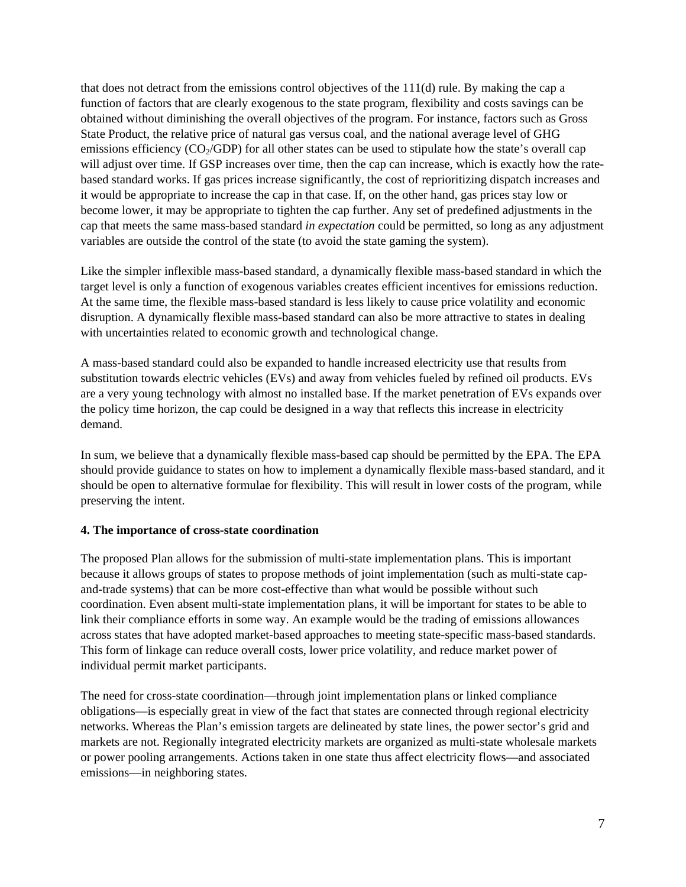that does not detract from the emissions control objectives of the 111(d) rule. By making the cap a function of factors that are clearly exogenous to the state program, flexibility and costs savings can be obtained without diminishing the overall objectives of the program. For instance, factors such as Gross State Product, the relative price of natural gas versus coal, and the national average level of GHG emissions efficiency  $(CO<sub>2</sub>/GDP)$  for all other states can be used to stipulate how the state's overall cap will adjust over time. If GSP increases over time, then the cap can increase, which is exactly how the ratebased standard works. If gas prices increase significantly, the cost of reprioritizing dispatch increases and it would be appropriate to increase the cap in that case. If, on the other hand, gas prices stay low or become lower, it may be appropriate to tighten the cap further. Any set of predefined adjustments in the cap that meets the same mass-based standard *in expectation* could be permitted, so long as any adjustment variables are outside the control of the state (to avoid the state gaming the system).

Like the simpler inflexible mass-based standard, a dynamically flexible mass-based standard in which the target level is only a function of exogenous variables creates efficient incentives for emissions reduction. At the same time, the flexible mass-based standard is less likely to cause price volatility and economic disruption. A dynamically flexible mass-based standard can also be more attractive to states in dealing with uncertainties related to economic growth and technological change.

A mass-based standard could also be expanded to handle increased electricity use that results from substitution towards electric vehicles (EVs) and away from vehicles fueled by refined oil products. EVs are a very young technology with almost no installed base. If the market penetration of EVs expands over the policy time horizon, the cap could be designed in a way that reflects this increase in electricity demand.

In sum, we believe that a dynamically flexible mass-based cap should be permitted by the EPA. The EPA should provide guidance to states on how to implement a dynamically flexible mass-based standard, and it should be open to alternative formulae for flexibility. This will result in lower costs of the program, while preserving the intent.

### **4. The importance of cross-state coordination**

The proposed Plan allows for the submission of multi-state implementation plans. This is important because it allows groups of states to propose methods of joint implementation (such as multi-state capand-trade systems) that can be more cost-effective than what would be possible without such coordination. Even absent multi-state implementation plans, it will be important for states to be able to link their compliance efforts in some way. An example would be the trading of emissions allowances across states that have adopted market-based approaches to meeting state-specific mass-based standards. This form of linkage can reduce overall costs, lower price volatility, and reduce market power of individual permit market participants.

The need for cross-state coordination—through joint implementation plans or linked compliance obligations—is especially great in view of the fact that states are connected through regional electricity networks. Whereas the Plan's emission targets are delineated by state lines, the power sector's grid and markets are not. Regionally integrated electricity markets are organized as multi-state wholesale markets or power pooling arrangements. Actions taken in one state thus affect electricity flows—and associated emissions—in neighboring states.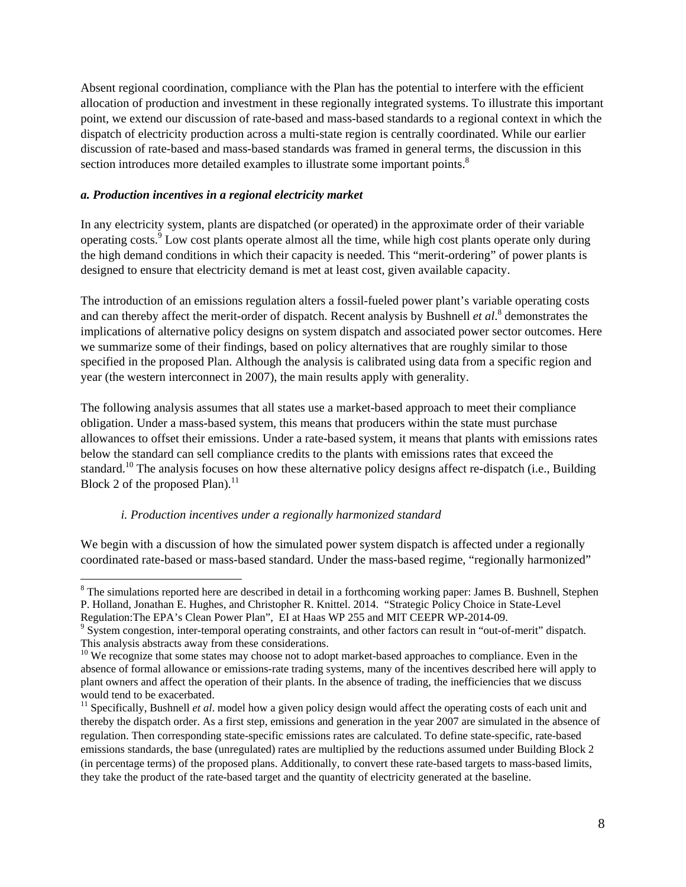Absent regional coordination, compliance with the Plan has the potential to interfere with the efficient allocation of production and investment in these regionally integrated systems. To illustrate this important point, we extend our discussion of rate-based and mass-based standards to a regional context in which the dispatch of electricity production across a multi-state region is centrally coordinated. While our earlier discussion of rate-based and mass-based standards was framed in general terms, the discussion in this section introduces more detailed examples to illustrate some important points.<sup>8</sup>

### *a. Production incentives in a regional electricity market*

In any electricity system, plants are dispatched (or operated) in the approximate order of their variable operating costs.<sup>9</sup> Low cost plants operate almost all the time, while high cost plants operate only during the high demand conditions in which their capacity is needed. This "merit-ordering" of power plants is designed to ensure that electricity demand is met at least cost, given available capacity.

The introduction of an emissions regulation alters a fossil-fueled power plant's variable operating costs and can thereby affect the merit-order of dispatch. Recent analysis by Bushnell *et al.*<sup>8</sup> demonstrates the implications of alternative policy designs on system dispatch and associated power sector outcomes. Here we summarize some of their findings, based on policy alternatives that are roughly similar to those specified in the proposed Plan. Although the analysis is calibrated using data from a specific region and year (the western interconnect in 2007), the main results apply with generality.

The following analysis assumes that all states use a market-based approach to meet their compliance obligation. Under a mass-based system, this means that producers within the state must purchase allowances to offset their emissions. Under a rate-based system, it means that plants with emissions rates below the standard can sell compliance credits to the plants with emissions rates that exceed the standard.<sup>10</sup> The analysis focuses on how these alternative policy designs affect re-dispatch (i.e., Building Block 2 of the proposed Plan). $^{11}$ 

### *i. Production incentives under a regionally harmonized standard*

We begin with a discussion of how the simulated power system dispatch is affected under a regionally coordinated rate-based or mass-based standard. Under the mass-based regime, "regionally harmonized"

<sup>&</sup>lt;sup>8</sup> The simulations reported here are described in detail in a forthcoming working paper: James B. Bushnell, Stephen P. Holland, Jonathan E. Hughes, and Christopher R. Knittel. 2014. "Strategic Policy Choice in State-Level Regulation: The EPA's Clean Power Plan", EI at Haas WP 255 and MIT CEEPR WP-2014-09.

<sup>&</sup>lt;sup>9</sup> System congestion, inter-temporal operating constraints, and other factors can result in "out-of-merit" dispatch. This analysis abstracts away from these considerations.

<sup>&</sup>lt;sup>10</sup> We recognize that some states may choose not to adopt market-based approaches to compliance. Even in the absence of formal allowance or emissions-rate trading systems, many of the incentives described here will apply to plant owners and affect the operation of their plants. In the absence of trading, the inefficiencies that we discuss would tend to be exacerbated.

<sup>&</sup>lt;sup>11</sup> Specifically, Bushnell *et al.* model how a given policy design would affect the operating costs of each unit and thereby the dispatch order. As a first step, emissions and generation in the year 2007 are simulated in the absence of regulation. Then corresponding state-specific emissions rates are calculated. To define state-specific, rate-based emissions standards, the base (unregulated) rates are multiplied by the reductions assumed under Building Block 2 (in percentage terms) of the proposed plans. Additionally, to convert these rate-based targets to mass-based limits, they take the product of the rate-based target and the quantity of electricity generated at the baseline.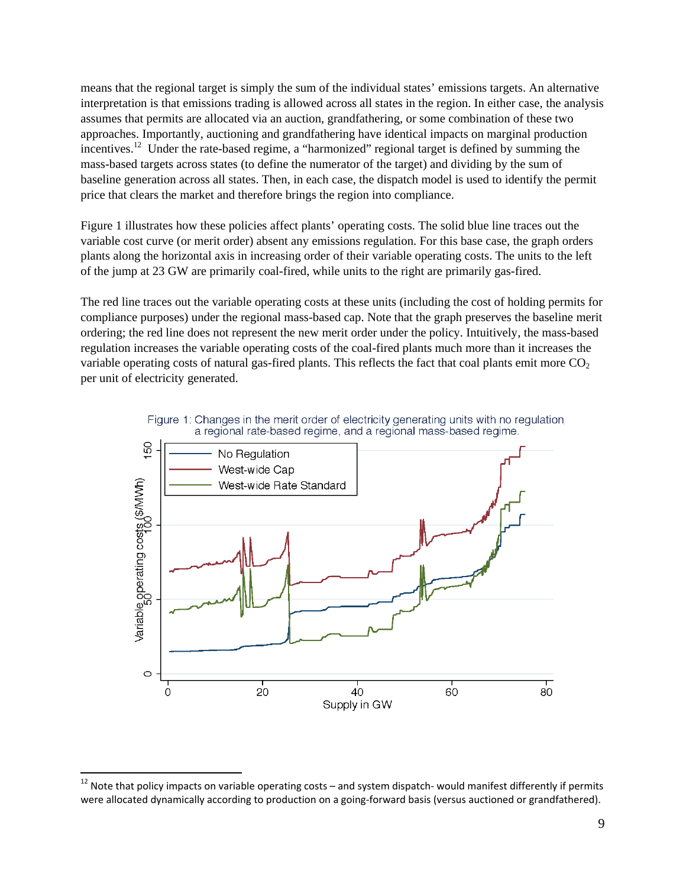means that the regional target is simply the sum of the individual states' emissions targets. An alternative interpretation is that emissions trading is allowed across all states in the region. In either case, the analysis assumes that permits are allocated via an auction, grandfathering, or some combination of these two approaches. Importantly, auctioning and grandfathering have identical impacts on marginal production incentives.<sup>12</sup> Under the rate-based regime, a "harmonized" regional target is defined by summing the mass-based targets across states (to define the numerator of the target) and dividing by the sum of baseline generation across all states. Then, in each case, the dispatch model is used to identify the permit price that clears the market and therefore brings the region into compliance.

Figure 1 illustrates how these policies affect plants' operating costs. The solid blue line traces out the variable cost curve (or merit order) absent any emissions regulation. For this base case, the graph orders plants along the horizontal axis in increasing order of their variable operating costs. The units to the left of the jump at 23 GW are primarily coal-fired, while units to the right are primarily gas-fired.

The red line traces out the variable operating costs at these units (including the cost of holding permits for compliance purposes) under the regional mass-based cap. Note that the graph preserves the baseline merit ordering; the red line does not represent the new merit order under the policy. Intuitively, the mass-based regulation increases the variable operating costs of the coal-fired plants much more than it increases the variable operating costs of natural gas-fired plants. This reflects the fact that coal plants emit more  $CO<sub>2</sub>$ per unit of electricity generated.





 $^{12}$  Note that policy impacts on variable operating costs – and system dispatch- would manifest differently if permits were allocated dynamically according to production on a going-forward basis (versus auctioned or grandfathered).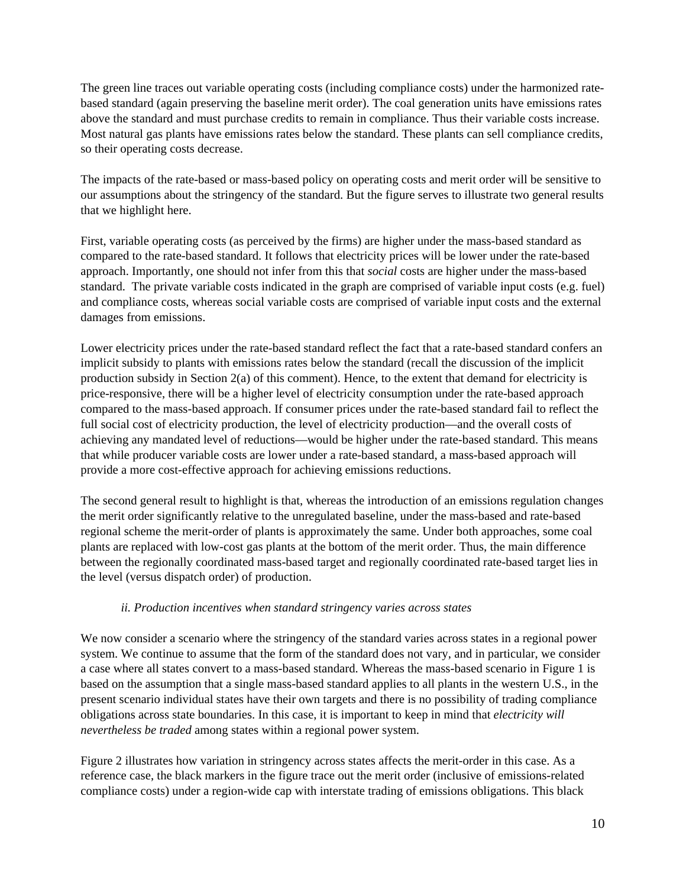The green line traces out variable operating costs (including compliance costs) under the harmonized ratebased standard (again preserving the baseline merit order). The coal generation units have emissions rates above the standard and must purchase credits to remain in compliance. Thus their variable costs increase. Most natural gas plants have emissions rates below the standard. These plants can sell compliance credits, so their operating costs decrease.

The impacts of the rate-based or mass-based policy on operating costs and merit order will be sensitive to our assumptions about the stringency of the standard. But the figure serves to illustrate two general results that we highlight here.

First, variable operating costs (as perceived by the firms) are higher under the mass-based standard as compared to the rate-based standard. It follows that electricity prices will be lower under the rate-based approach. Importantly, one should not infer from this that *social* costs are higher under the mass-based standard. The private variable costs indicated in the graph are comprised of variable input costs (e.g. fuel) and compliance costs, whereas social variable costs are comprised of variable input costs and the external damages from emissions.

Lower electricity prices under the rate-based standard reflect the fact that a rate-based standard confers an implicit subsidy to plants with emissions rates below the standard (recall the discussion of the implicit production subsidy in Section 2(a) of this comment). Hence, to the extent that demand for electricity is price-responsive, there will be a higher level of electricity consumption under the rate-based approach compared to the mass-based approach. If consumer prices under the rate-based standard fail to reflect the full social cost of electricity production, the level of electricity production—and the overall costs of achieving any mandated level of reductions—would be higher under the rate-based standard. This means that while producer variable costs are lower under a rate-based standard, a mass-based approach will provide a more cost-effective approach for achieving emissions reductions.

The second general result to highlight is that, whereas the introduction of an emissions regulation changes the merit order significantly relative to the unregulated baseline, under the mass-based and rate-based regional scheme the merit-order of plants is approximately the same. Under both approaches, some coal plants are replaced with low-cost gas plants at the bottom of the merit order. Thus, the main difference between the regionally coordinated mass-based target and regionally coordinated rate-based target lies in the level (versus dispatch order) of production.

### *ii. Production incentives when standard stringency varies across states*

We now consider a scenario where the stringency of the standard varies across states in a regional power system. We continue to assume that the form of the standard does not vary, and in particular, we consider a case where all states convert to a mass-based standard. Whereas the mass-based scenario in Figure 1 is based on the assumption that a single mass-based standard applies to all plants in the western U.S., in the present scenario individual states have their own targets and there is no possibility of trading compliance obligations across state boundaries. In this case, it is important to keep in mind that *electricity will nevertheless be traded* among states within a regional power system.

Figure 2 illustrates how variation in stringency across states affects the merit-order in this case. As a reference case, the black markers in the figure trace out the merit order (inclusive of emissions-related compliance costs) under a region-wide cap with interstate trading of emissions obligations. This black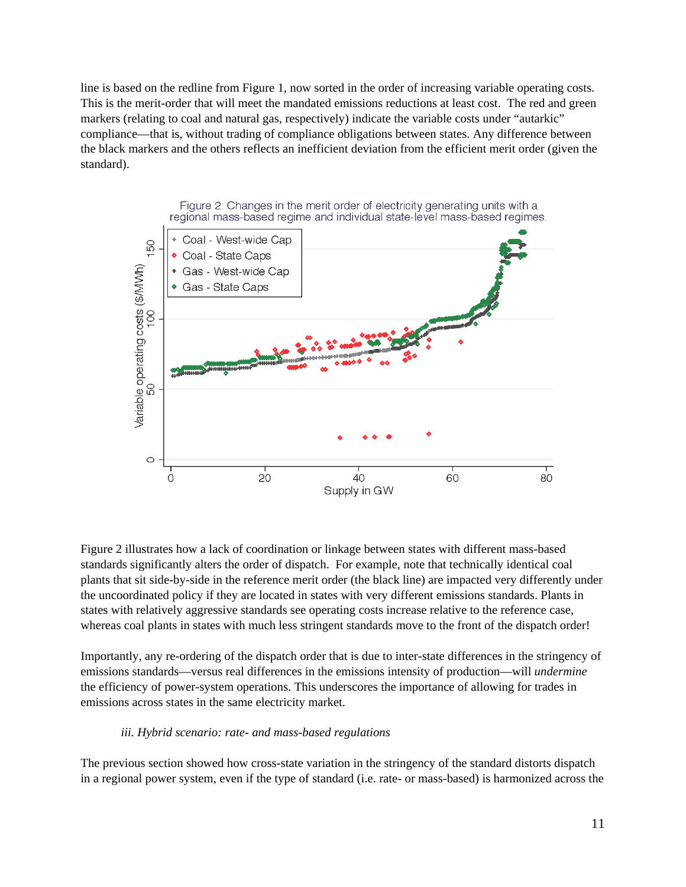line is based on the redline from Figure 1, now sorted in the order of increasing variable operating costs. This is the merit-order that will meet the mandated emissions reductions at least cost. The red and green markers (relating to coal and natural gas, respectively) indicate the variable costs under "autarkic" compliance—that is, without trading of compliance obligations between states. Any difference between the black markers and the others reflects an inefficient deviation from the efficient merit order (given the standard).



Figure 2 illustrates how a lack of coordination or linkage between states with different mass-based standards significantly alters the order of dispatch. For example, note that technically identical coal plants that sit side-by-side in the reference merit order (the black line) are impacted very differently under the uncoordinated policy if they are located in states with very different emissions standards. Plants in states with relatively aggressive standards see operating costs increase relative to the reference case, whereas coal plants in states with much less stringent standards move to the front of the dispatch order!

Importantly, any re-ordering of the dispatch order that is due to inter-state differences in the stringency of emissions standards—versus real differences in the emissions intensity of production—will *undermine*  the efficiency of power-system operations. This underscores the importance of allowing for trades in emissions across states in the same electricity market.

#### *iii. Hybrid scenario: rate- and mass-based regulations*

The previous section showed how cross-state variation in the stringency of the standard distorts dispatch in a regional power system, even if the type of standard (i.e. rate- or mass-based) is harmonized across the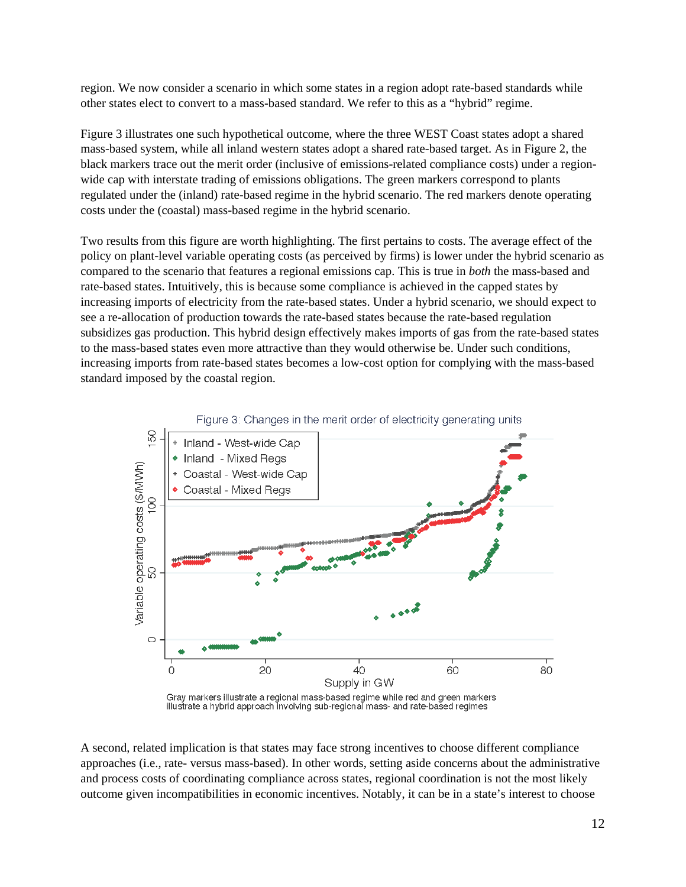region. We now consider a scenario in which some states in a region adopt rate-based standards while other states elect to convert to a mass-based standard. We refer to this as a "hybrid" regime.

Figure 3 illustrates one such hypothetical outcome, where the three WEST Coast states adopt a shared mass-based system, while all inland western states adopt a shared rate-based target. As in Figure 2, the black markers trace out the merit order (inclusive of emissions-related compliance costs) under a regionwide cap with interstate trading of emissions obligations. The green markers correspond to plants regulated under the (inland) rate-based regime in the hybrid scenario. The red markers denote operating costs under the (coastal) mass-based regime in the hybrid scenario.

Two results from this figure are worth highlighting. The first pertains to costs. The average effect of the policy on plant-level variable operating costs (as perceived by firms) is lower under the hybrid scenario as compared to the scenario that features a regional emissions cap. This is true in *both* the mass-based and rate-based states. Intuitively, this is because some compliance is achieved in the capped states by increasing imports of electricity from the rate-based states. Under a hybrid scenario, we should expect to see a re-allocation of production towards the rate-based states because the rate-based regulation subsidizes gas production. This hybrid design effectively makes imports of gas from the rate-based states to the mass-based states even more attractive than they would otherwise be. Under such conditions, increasing imports from rate-based states becomes a low-cost option for complying with the mass-based standard imposed by the coastal region.



Figure 3: Changes in the merit order of electricity generating units

illustrate a hybrid approach involving sub-regional mass- and rate-based regimes

A second, related implication is that states may face strong incentives to choose different compliance approaches (i.e., rate- versus mass-based). In other words, setting aside concerns about the administrative and process costs of coordinating compliance across states, regional coordination is not the most likely outcome given incompatibilities in economic incentives. Notably, it can be in a state's interest to choose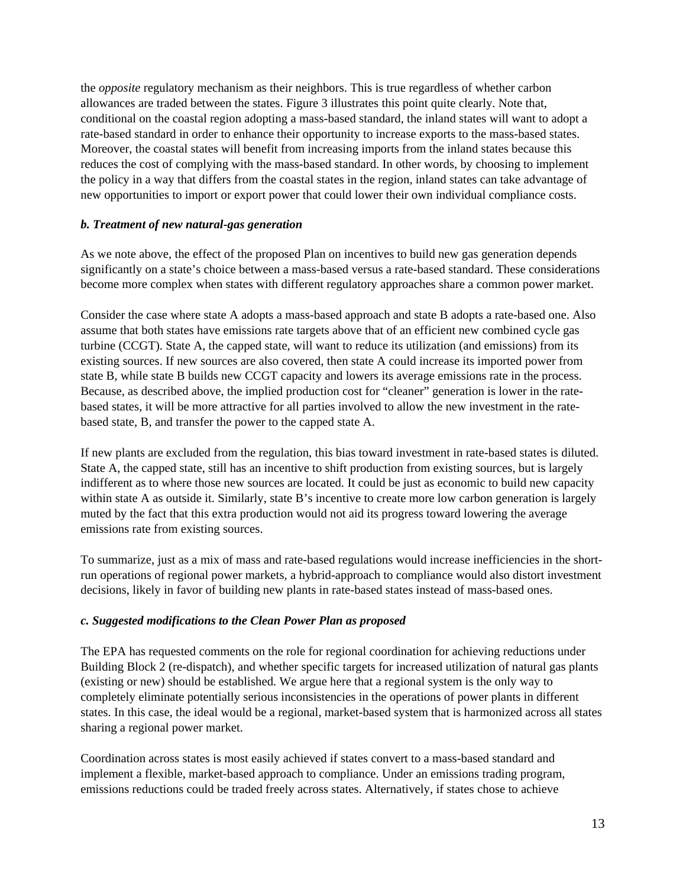the *opposite* regulatory mechanism as their neighbors. This is true regardless of whether carbon allowances are traded between the states. Figure 3 illustrates this point quite clearly. Note that, conditional on the coastal region adopting a mass-based standard, the inland states will want to adopt a rate-based standard in order to enhance their opportunity to increase exports to the mass-based states. Moreover, the coastal states will benefit from increasing imports from the inland states because this reduces the cost of complying with the mass-based standard. In other words, by choosing to implement the policy in a way that differs from the coastal states in the region, inland states can take advantage of new opportunities to import or export power that could lower their own individual compliance costs.

### *b. Treatment of new natural-gas generation*

As we note above, the effect of the proposed Plan on incentives to build new gas generation depends significantly on a state's choice between a mass-based versus a rate-based standard. These considerations become more complex when states with different regulatory approaches share a common power market.

Consider the case where state A adopts a mass-based approach and state B adopts a rate-based one. Also assume that both states have emissions rate targets above that of an efficient new combined cycle gas turbine (CCGT). State A, the capped state, will want to reduce its utilization (and emissions) from its existing sources. If new sources are also covered, then state A could increase its imported power from state B, while state B builds new CCGT capacity and lowers its average emissions rate in the process. Because, as described above, the implied production cost for "cleaner" generation is lower in the ratebased states, it will be more attractive for all parties involved to allow the new investment in the ratebased state, B, and transfer the power to the capped state A.

If new plants are excluded from the regulation, this bias toward investment in rate-based states is diluted. State A, the capped state, still has an incentive to shift production from existing sources, but is largely indifferent as to where those new sources are located. It could be just as economic to build new capacity within state A as outside it. Similarly, state B's incentive to create more low carbon generation is largely muted by the fact that this extra production would not aid its progress toward lowering the average emissions rate from existing sources.

To summarize, just as a mix of mass and rate-based regulations would increase inefficiencies in the shortrun operations of regional power markets, a hybrid-approach to compliance would also distort investment decisions, likely in favor of building new plants in rate-based states instead of mass-based ones.

# *c. Suggested modifications to the Clean Power Plan as proposed*

The EPA has requested comments on the role for regional coordination for achieving reductions under Building Block 2 (re-dispatch), and whether specific targets for increased utilization of natural gas plants (existing or new) should be established. We argue here that a regional system is the only way to completely eliminate potentially serious inconsistencies in the operations of power plants in different states. In this case, the ideal would be a regional, market-based system that is harmonized across all states sharing a regional power market.

Coordination across states is most easily achieved if states convert to a mass-based standard and implement a flexible, market-based approach to compliance. Under an emissions trading program, emissions reductions could be traded freely across states. Alternatively, if states chose to achieve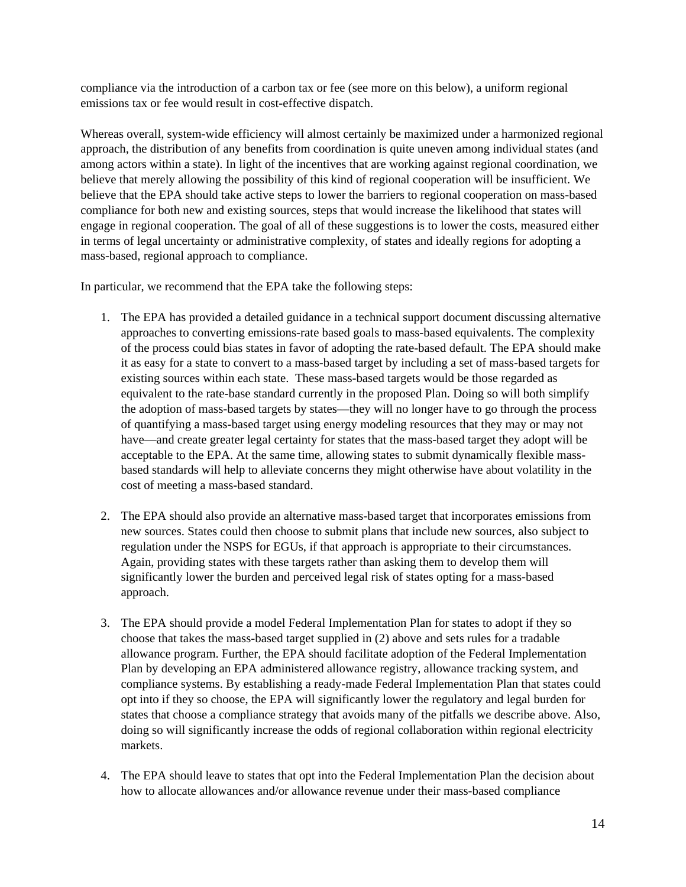compliance via the introduction of a carbon tax or fee (see more on this below), a uniform regional emissions tax or fee would result in cost-effective dispatch.

Whereas overall, system-wide efficiency will almost certainly be maximized under a harmonized regional approach, the distribution of any benefits from coordination is quite uneven among individual states (and among actors within a state). In light of the incentives that are working against regional coordination, we believe that merely allowing the possibility of this kind of regional cooperation will be insufficient. We believe that the EPA should take active steps to lower the barriers to regional cooperation on mass-based compliance for both new and existing sources, steps that would increase the likelihood that states will engage in regional cooperation. The goal of all of these suggestions is to lower the costs, measured either in terms of legal uncertainty or administrative complexity, of states and ideally regions for adopting a mass-based, regional approach to compliance.

In particular, we recommend that the EPA take the following steps:

- 1. The EPA has provided a detailed guidance in a technical support document discussing alternative approaches to converting emissions-rate based goals to mass-based equivalents. The complexity of the process could bias states in favor of adopting the rate-based default. The EPA should make it as easy for a state to convert to a mass-based target by including a set of mass-based targets for existing sources within each state. These mass-based targets would be those regarded as equivalent to the rate-base standard currently in the proposed Plan. Doing so will both simplify the adoption of mass-based targets by states—they will no longer have to go through the process of quantifying a mass-based target using energy modeling resources that they may or may not have—and create greater legal certainty for states that the mass-based target they adopt will be acceptable to the EPA. At the same time, allowing states to submit dynamically flexible massbased standards will help to alleviate concerns they might otherwise have about volatility in the cost of meeting a mass-based standard.
- 2. The EPA should also provide an alternative mass-based target that incorporates emissions from new sources. States could then choose to submit plans that include new sources, also subject to regulation under the NSPS for EGUs, if that approach is appropriate to their circumstances. Again, providing states with these targets rather than asking them to develop them will significantly lower the burden and perceived legal risk of states opting for a mass-based approach.
- 3. The EPA should provide a model Federal Implementation Plan for states to adopt if they so choose that takes the mass-based target supplied in (2) above and sets rules for a tradable allowance program. Further, the EPA should facilitate adoption of the Federal Implementation Plan by developing an EPA administered allowance registry, allowance tracking system, and compliance systems. By establishing a ready-made Federal Implementation Plan that states could opt into if they so choose, the EPA will significantly lower the regulatory and legal burden for states that choose a compliance strategy that avoids many of the pitfalls we describe above. Also, doing so will significantly increase the odds of regional collaboration within regional electricity markets.
- 4. The EPA should leave to states that opt into the Federal Implementation Plan the decision about how to allocate allowances and/or allowance revenue under their mass-based compliance